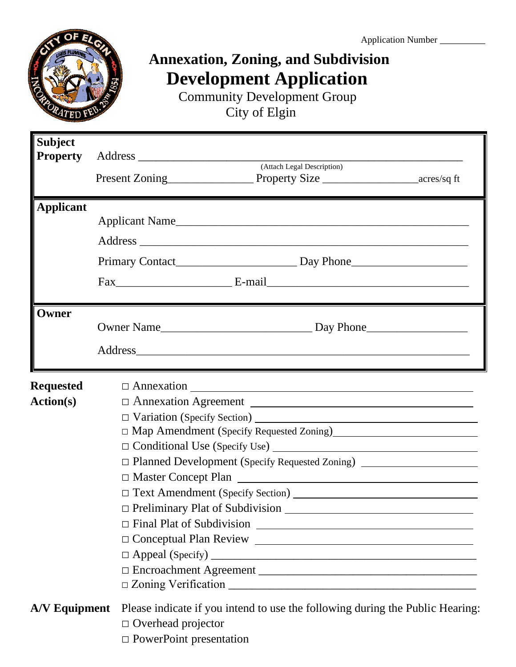

# **Annexation, Zoning, and Subdivision Development Application**

 Community Development Group City of Elgin

| <b>Subject</b><br>Property |                                                                                             |  |  |  |  |  |  |
|----------------------------|---------------------------------------------------------------------------------------------|--|--|--|--|--|--|
|                            | (Attach Legal Description)                                                                  |  |  |  |  |  |  |
|                            | Present Zoning<br><u>Property Size</u><br>Property Size                                     |  |  |  |  |  |  |
| <b>Applicant</b>           |                                                                                             |  |  |  |  |  |  |
|                            | Applicant Name                                                                              |  |  |  |  |  |  |
|                            |                                                                                             |  |  |  |  |  |  |
|                            |                                                                                             |  |  |  |  |  |  |
|                            |                                                                                             |  |  |  |  |  |  |
| Owner                      |                                                                                             |  |  |  |  |  |  |
|                            |                                                                                             |  |  |  |  |  |  |
|                            |                                                                                             |  |  |  |  |  |  |
| <b>Requested</b>           | $\Box$ Annexation $\Box$                                                                    |  |  |  |  |  |  |
| <b>Action(s)</b>           |                                                                                             |  |  |  |  |  |  |
|                            |                                                                                             |  |  |  |  |  |  |
|                            | □ Map Amendment (Specify Requested Zoning)<br>□ Map Amendment (Specify Requested Zoning)    |  |  |  |  |  |  |
|                            |                                                                                             |  |  |  |  |  |  |
|                            | □ Planned Development (Specify Requested Zoning) ______________________________             |  |  |  |  |  |  |
|                            | □ Master Concept Plan                                                                       |  |  |  |  |  |  |
|                            |                                                                                             |  |  |  |  |  |  |
|                            | $\Box$ Preliminary Plat of Subdivision $\Box$                                               |  |  |  |  |  |  |
|                            | $\Box$ Final Plat of Subdivision $\Box$                                                     |  |  |  |  |  |  |
|                            |                                                                                             |  |  |  |  |  |  |
|                            |                                                                                             |  |  |  |  |  |  |
|                            | D Encroachment Agreement                                                                    |  |  |  |  |  |  |
|                            |                                                                                             |  |  |  |  |  |  |
|                            | A/V Equipment Please indicate if you intend to use the following during the Public Hearing: |  |  |  |  |  |  |
|                            | $\Box$ Overhead projector                                                                   |  |  |  |  |  |  |
|                            | $\Box$ PowerPoint presentation                                                              |  |  |  |  |  |  |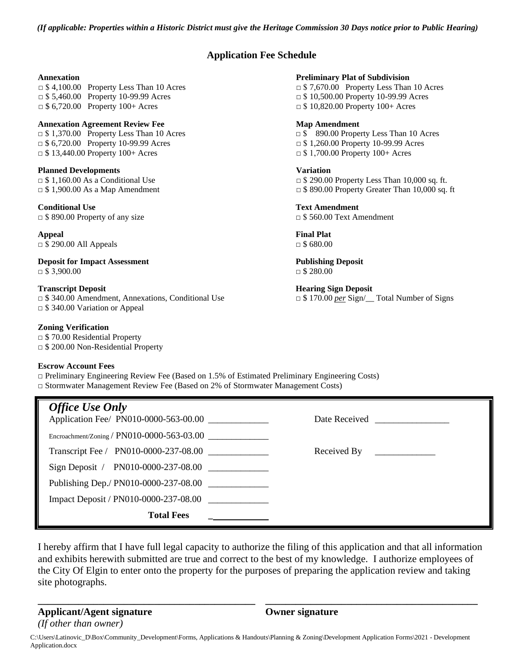*(If applicable: Properties within a Historic District must give the Heritage Commission 30 Days notice prior to Public Hearing)*

#### **Application Fee Schedule**

□ \$5,460.00 Property 10-99.99 Acres □ \$10,500.00 Property 10-99.99 Acres □ \$ 6,720.00 Property 100+ Acres □ \$ 10,820.00 Property 100+ Acres

#### **Annexation Agreement Review Fee Map Amendment**

□ \$ 6,720.00 Property 10-99.99 Acres □ \$ 1,260.00 Property 10-99.99 Acres □ \$ 13,440.00 Property 100+ Acres □ \$ 1,700.00 Property 100+ Acres

**Planned Developments Variation**

**Conditional Use Text Amendment** □ \$ 890.00 Property of any size □ \$ 560.00 Text Amendment

**Appeal Final Plat** □ \$ 290.00 All Appeals **□** \$ 680.00

**Deposit for Impact Assessment Publishing Deposit**  $\Box$  \$ 3,900.00  $\Box$  \$ 280.00

□ \$ 340.00 Amendment, Annexations, Conditional Use □ \$ 170.00 *per* Sign/\_\_ Total Number of Signs □ \$ 340.00 Variation or Appeal

#### **Zoning Verification**

□ \$ 70.00 Residential Property □ \$ 200.00 Non-Residential Property

#### **Escrow Account Fees**

□ Preliminary Engineering Review Fee (Based on 1.5% of Estimated Preliminary Engineering Costs) □ Stormwater Management Review Fee (Based on 2% of Stormwater Management Costs)

| <b>Office Use Only</b><br>Application Fee/ PN010-0000-563-00.00 | Date Received _______________ |
|-----------------------------------------------------------------|-------------------------------|
| Encroachment/Zoning / $PN010-0000-563-03.00$                    |                               |
| Transcript Fee / PN010-0000-237-08.00                           |                               |
| Sign Deposit / PN010-0000-237-08.00                             |                               |
| Publishing Dep./ PN010-0000-237-08.00                           |                               |
| Impact Deposit / PN010-0000-237-08.00                           |                               |
| <b>Total Fees</b><br><u> a shekara ta 1999 a shekara t</u>      |                               |

I hereby affirm that I have full legal capacity to authorize the filing of this application and that all information and exhibits herewith submitted are true and correct to the best of my knowledge. I authorize employees of the City Of Elgin to enter onto the property for the purposes of preparing the application review and taking site photographs.

**\_\_\_\_\_\_\_\_\_\_\_\_\_\_\_\_\_\_\_\_\_\_\_\_\_\_\_\_\_\_\_\_\_\_\_\_\_\_\_\_\_\_\_ \_\_\_\_\_\_\_\_\_\_\_\_\_\_\_\_\_\_\_\_\_\_\_\_\_\_\_\_\_\_\_\_\_\_\_\_\_\_\_\_\_\_**

**Applicant/Agent signature Owner signature** *(If other than owner)*

C:\Users\Latinovic\_D\Box\Community\_Development\Forms, Applications & Handouts\Planning & Zoning\Development Application Forms\2021 - Development Application.docx

#### **Annexation Preliminary Plat of Subdivision**

 $\Box$  \$ 4,100.00 Property Less Than 10 Acres  $\Box$  \$ 7,670.00 Property Less Than 10 Acres

□ \$ 1,370.00 Property Less Than 10 Acres □ \$ 890.00 Property Less Than 10 Acres

 $\Box$  \$ 1,160.00 As a Conditional Use  $\Box$  \$ 290.00 Property Less Than 10,000 sq. ft.  $\Box$  \$ 1,900.00 As a Map Amendment  $\Box$  \$ 890.00 Property Greater Than 10,000 sq. ft

**Transcript Deposit Hearing Sign Deposit Hearing Sign Deposit**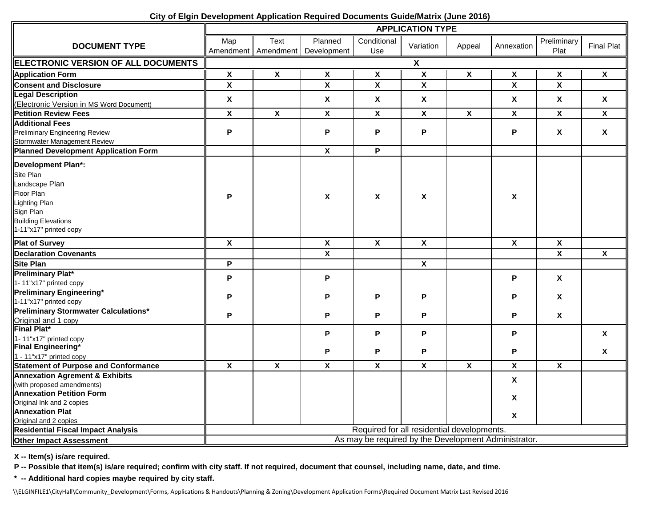| City of Elgin Development Application Required Documents Guide/Matrix (June 2016) |  |
|-----------------------------------------------------------------------------------|--|
|-----------------------------------------------------------------------------------|--|

|                                                                  | <b>APPLICATION TYPE</b> |                           |                                                |                                                      |                           |                         |                         |                           |                           |
|------------------------------------------------------------------|-------------------------|---------------------------|------------------------------------------------|------------------------------------------------------|---------------------------|-------------------------|-------------------------|---------------------------|---------------------------|
| <b>DOCUMENT TYPE</b>                                             | Map                     | <b>Text</b>               | Planned<br>Amendment   Amendment   Development | Conditional<br>Use                                   | Variation                 | Appeal                  | Annexation              | Preliminary<br>Plat       | <b>Final Plat</b>         |
| <b>ELECTRONIC VERSION OF ALL DOCUMENTS</b>                       | X                       |                           |                                                |                                                      |                           |                         |                         |                           |                           |
| <b>Application Form</b>                                          | $\overline{\mathbf{X}}$ | $\overline{\mathbf{x}}$   | $\overline{\mathbf{X}}$                        | $\overline{\mathbf{x}}$                              | $\overline{\mathbf{x}}$   | $\overline{\mathbf{x}}$ | $\overline{\mathbf{x}}$ | $\overline{\mathbf{x}}$   | $\overline{\mathbf{X}}$   |
| <b>Consent and Disclosure</b>                                    | $\overline{\mathbf{x}}$ |                           | $\overline{\mathbf{x}}$                        | $\overline{\mathbf{x}}$                              | $\pmb{\mathsf{X}}$        |                         | $\overline{\mathbf{x}}$ | $\mathbf x$               |                           |
| <b>Legal Description</b>                                         | $\pmb{\chi}$            |                           | $\boldsymbol{\mathsf{X}}$                      | $\boldsymbol{\mathsf{X}}$                            | X                         |                         | X                       | X                         | $\boldsymbol{\mathsf{X}}$ |
| (Electronic Version in MS Word Document)                         |                         |                           |                                                |                                                      |                           |                         |                         |                           |                           |
| <b>Petition Review Fees</b>                                      | $\pmb{\mathsf{X}}$      | $\boldsymbol{\mathsf{X}}$ | $\pmb{\chi}$                                   | $\boldsymbol{\mathsf{X}}$                            | $\boldsymbol{\mathsf{X}}$ | X                       | X                       | X                         | $\mathsf{X}$              |
| <b>Additional Fees</b>                                           |                         |                           |                                                |                                                      |                           |                         |                         |                           |                           |
| <b>Preliminary Engineering Review</b>                            | P                       |                           | P                                              | P                                                    | P                         |                         | P                       | $\boldsymbol{\mathsf{X}}$ | $\mathsf{X}$              |
| Stormwater Management Review                                     |                         |                           |                                                |                                                      |                           |                         |                         |                           |                           |
| Planned Development Application Form                             |                         |                           | $\overline{\mathbf{x}}$                        | P                                                    |                           |                         |                         |                           |                           |
| Development Plan*:                                               |                         |                           |                                                |                                                      |                           |                         |                         |                           |                           |
| Site Plan                                                        |                         |                           |                                                |                                                      |                           |                         |                         |                           |                           |
| Landscape Plan                                                   |                         |                           |                                                |                                                      |                           |                         |                         |                           |                           |
| Floor Plan                                                       | P                       |                           | X                                              | X                                                    | X                         |                         | X                       |                           |                           |
| Lighting Plan                                                    |                         |                           |                                                |                                                      |                           |                         |                         |                           |                           |
| Sign Plan                                                        |                         |                           |                                                |                                                      |                           |                         |                         |                           |                           |
| <b>Building Elevations</b>                                       |                         |                           |                                                |                                                      |                           |                         |                         |                           |                           |
| 1-11"x17" printed copy                                           |                         |                           |                                                |                                                      |                           |                         |                         |                           |                           |
| <b>Plat of Survey</b>                                            | $\pmb{\mathsf{X}}$      |                           | $\pmb{\chi}$                                   | $\boldsymbol{\mathsf{x}}$                            | $\mathbf{x}$              |                         | $\mathbf{x}$            | $\pmb{\mathsf{X}}$        |                           |
| <b>Declaration Covenants</b>                                     |                         |                           | $\overline{\mathbf{x}}$                        |                                                      |                           |                         |                         | $\overline{\mathbf{x}}$   | $\overline{\mathbf{x}}$   |
| <b>Site Plan</b>                                                 | P                       |                           |                                                |                                                      | $\overline{\mathbf{X}}$   |                         |                         |                           |                           |
| <b>Preliminary Plat*</b>                                         | P                       |                           | P                                              |                                                      |                           |                         | P                       | X                         |                           |
| 1-11"x17" printed copy                                           |                         |                           |                                                |                                                      |                           |                         |                         |                           |                           |
| <b>Preliminary Engineering*</b>                                  |                         |                           | P                                              | P                                                    | P                         |                         | P                       |                           |                           |
| 1-11"x17" printed copy                                           | Ρ                       |                           |                                                |                                                      |                           |                         |                         | X                         |                           |
| Preliminary Stormwater Calculations*                             | P                       |                           | P                                              | P                                                    | P                         |                         | P                       | X                         |                           |
| Original and 1 copy                                              |                         |                           |                                                |                                                      |                           |                         |                         |                           |                           |
| Final Plat*                                                      |                         |                           | P                                              | P                                                    | P                         |                         | P                       |                           | X                         |
| 1-11"x17" printed copy                                           |                         |                           |                                                |                                                      |                           |                         |                         |                           |                           |
| Final Engineering*                                               |                         |                           | P                                              | P                                                    | P                         |                         | P                       |                           | X                         |
| 1 - 11"x17" printed copy<br>Statement of Purpose and Conformance |                         |                           |                                                |                                                      |                           |                         |                         |                           |                           |
|                                                                  | $\overline{\mathbf{x}}$ | $\overline{\mathbf{x}}$   | $\overline{\mathbf{x}}$                        | $\overline{\mathbf{x}}$                              | $\overline{\mathbf{x}}$   | $\overline{\mathbf{x}}$ | $\overline{\mathbf{X}}$ | $\overline{\mathbf{x}}$   |                           |
| <b>Annexation Agrement &amp; Exhibits</b>                        |                         |                           |                                                |                                                      |                           |                         | X                       |                           |                           |
| (with proposed amendments)                                       |                         |                           |                                                |                                                      |                           |                         |                         |                           |                           |
| <b>Annexation Petition Form</b><br>Original Ink and 2 copies     |                         |                           |                                                |                                                      |                           |                         | X                       |                           |                           |
| <b>Annexation Plat</b>                                           |                         |                           |                                                |                                                      |                           |                         |                         |                           |                           |
| Original and 2 copies                                            |                         |                           |                                                |                                                      |                           |                         | $\mathsf{x}$            |                           |                           |
| <b>Residential Fiscal Impact Analysis</b>                        |                         |                           |                                                | Required for all residential developments.           |                           |                         |                         |                           |                           |
| <b>Other Impact Assessment</b>                                   |                         |                           |                                                | As may be required by the Development Administrator. |                           |                         |                         |                           |                           |
|                                                                  |                         |                           |                                                |                                                      |                           |                         |                         |                           |                           |

**X -- Item(s) is/are required.**

**P -- Possible that item(s) is/are required; confirm with city staff. If not required, document that counsel, including name, date, and time.**

**\* -- Additional hard copies maybe required by city staff.**

\\ELGINFILE1\CityHall\Community\_Development\Forms, Applications & Handouts\Planning & Zoning\Development Application Forms\Required Document Matrix Last Revised 2016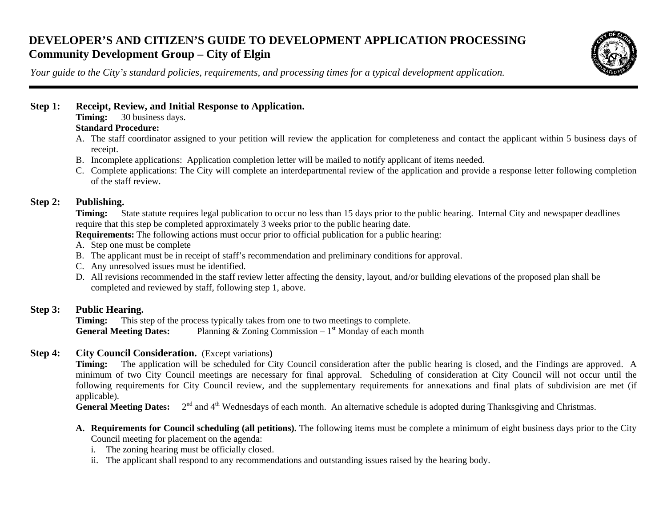## **DEVELOPER'S AND CITIZEN'S GUIDE TO DEVELOPMENT APPLICATION PROCESSING Community Development Group – City of Elgin**



*Your guide to the City's standard policies, requirements, and processing times for a typical development application.*

### **Step 1: Receipt, Review, and Initial Response to Application.**

**Timing:** 30 business days.

#### **Standard Procedure:**

- A. The staff coordinator assigned to your petition will review the application for completeness and contact the applicant within 5 business days of receipt.
- B. Incomplete applications: Application completion letter will be mailed to notify applicant of items needed.
- C. Complete applications: The City will complete an interdepartmental review of the application and provide a response letter following completion of the staff review.

#### **Step 2: Publishing.**

**Timing:** State statute requires legal publication to occur no less than 15 days prior to the public hearing. Internal City and newspaper deadlines require that this step be completed approximately 3 weeks prior to the public hearing date.

**Requirements:** The following actions must occur prior to official publication for a public hearing:

- A. Step one must be complete
- B. The applicant must be in receipt of staff's recommendation and preliminary conditions for approval.
- C. Any unresolved issues must be identified.
- D. All revisions recommended in the staff review letter affecting the density, layout, and/or building elevations of the proposed plan shall be completed and reviewed by staff, following step 1, above.

### **Step 3: Public Hearing.**

**Timing:** This step of the process typically takes from one to two meetings to complete. **General Meeting Dates:** Planning & Zoning Commission –  $1<sup>st</sup>$  Monday of each month

#### **Step 4:** City Council Consideration. (Except variations)

**Timing:** The application will be scheduled for City Council consideration after the public hearing is closed, and the Findings are approved. A minimum of two City Council meetings are necessary for final approval. Scheduling of consideration at City Council will not occur until the following requirements for City Council review, and the supplementary requirements for annexations and final plats of subdivision are met (if applicable).

General Meeting Dates:  $2^{nd}$  and 4<sup>th</sup> Wednesdays of each month. An alternative schedule is adopted during Thanksgiving and Christmas.

- **A. Requirements for Council scheduling (all petitions).** The following items must be complete a minimum of eight business days prior to the City Council meeting for placement on the agenda:
	- i. The zoning hearing must be officially closed.
	- ii. The applicant shall respond to any recommendations and outstanding issues raised by the hearing body.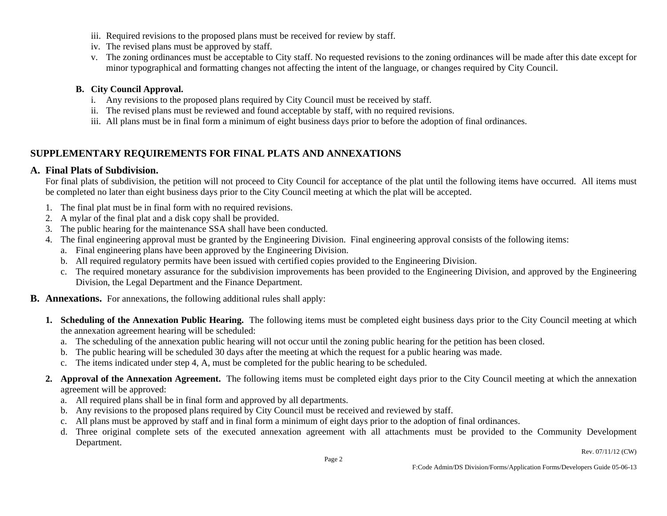- iii. Required revisions to the proposed plans must be received for review by staff.
- iv. The revised plans must be approved by staff.
- v. The zoning ordinances must be acceptable to City staff. No requested revisions to the zoning ordinances will be made after this date except for minor typographical and formatting changes not affecting the intent of the language, or changes required by City Council.

#### **B. City Council Approval.**

- i. Any revisions to the proposed plans required by City Council must be received by staff.
- ii. The revised plans must be reviewed and found acceptable by staff, with no required revisions.
- iii. All plans must be in final form a minimum of eight business days prior to before the adoption of final ordinances.

### **SUPPLEMENTARY REQUIREMENTS FOR FINAL PLATS AND ANNEXATIONS**

#### **A. Final Plats of Subdivision.**

For final plats of subdivision, the petition will not proceed to City Council for acceptance of the plat until the following items have occurred. All items must be completed no later than eight business days prior to the City Council meeting at which the plat will be accepted.

- 1. The final plat must be in final form with no required revisions.
- 2. A mylar of the final plat and a disk copy shall be provided.
- 3. The public hearing for the maintenance SSA shall have been conducted.
- 4. The final engineering approval must be granted by the Engineering Division. Final engineering approval consists of the following items:
	- a. Final engineering plans have been approved by the Engineering Division.
	- b. All required regulatory permits have been issued with certified copies provided to the Engineering Division.
	- c. The required monetary assurance for the subdivision improvements has been provided to the Engineering Division, and approved by the Engineering Division, the Legal Department and the Finance Department.
- **B. Annexations.** For annexations, the following additional rules shall apply:
	- **1. Scheduling of the Annexation Public Hearing.** The following items must be completed eight business days prior to the City Council meeting at which the annexation agreement hearing will be scheduled:
		- a. The scheduling of the annexation public hearing will not occur until the zoning public hearing for the petition has been closed.
		- b. The public hearing will be scheduled 30 days after the meeting at which the request for a public hearing was made.
		- c. The items indicated under step 4, A, must be completed for the public hearing to be scheduled.
	- **2. Approval of the Annexation Agreement.** The following items must be completed eight days prior to the City Council meeting at which the annexation agreement will be approved:
		- a. All required plans shall be in final form and approved by all departments.
		- b. Any revisions to the proposed plans required by City Council must be received and reviewed by staff.
		- c. All plans must be approved by staff and in final form a minimum of eight days prior to the adoption of final ordinances.
		- d. Three original complete sets of the executed annexation agreement with all attachments must be provided to the Community Development Department.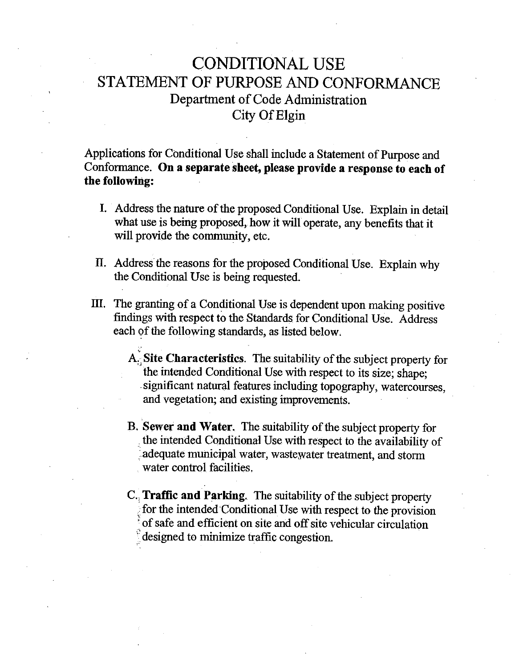## **CONDITIONAL USE** STATEMENT OF PURPOSE AND CONFORMANCE Department of Code Administration City Of Elgin

Applications for Conditional Use shall include a Statement of Purpose and Conformance. On a separate sheet, please provide a response to each of the following:

- I. Address the nature of the proposed Conditional Use. Explain in detail what use is being proposed, how it will operate, any benefits that it will provide the community, etc.
- II. Address the reasons for the proposed Conditional Use. Explain why the Conditional Use is being requested.
- III. The granting of a Conditional Use is dependent upon making positive findings with respect to the Standards for Conditional Use. Address each of the following standards, as listed below.
	- A. Site Characteristics. The suitability of the subject property for the intended Conditional Use with respect to its size; shape: significant natural features including topography, watercourses, and vegetation; and existing improvements.
	- B. Sewer and Water. The suitability of the subject property for the intended Conditional Use with respect to the availability of adequate municipal water, wastewater treatment, and storm water control facilities.
	- C., Traffic and Parking. The suitability of the subject property for the intended Conditional Use with respect to the provision of safe and efficient on site and off site vehicular circulation designed to minimize traffic congestion.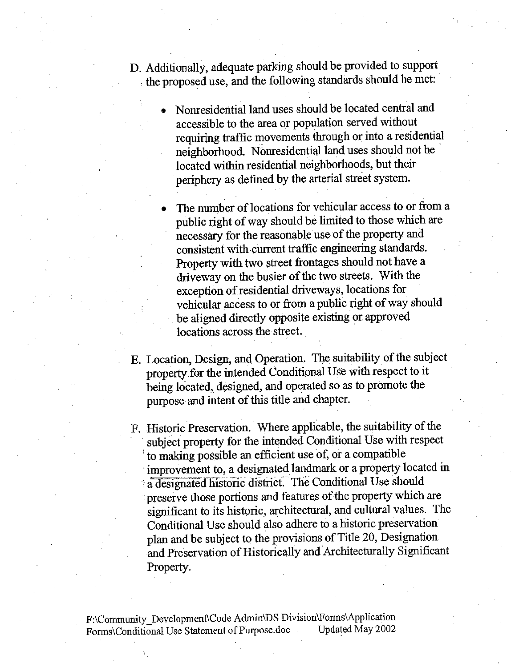- D. Additionally, adequate parking should be provided to support the proposed use, and the following standards should be met:
	- Nonresidential land uses should be located central and accessible to the area or population served without requiring traffic movements through or into a residential neighborhood. Nonresidential land uses should not be located within residential neighborhoods, but their periphery as defined by the arterial street system.
	- The number of locations for vehicular access to or from a public right of way should be limited to those which are necessary for the reasonable use of the property and consistent with current traffic engineering standards. Property with two street frontages should not have a driveway on the busier of the two streets. With the exception of residential driveways, locations for vehicular access to or from a public right of way should be aligned directly opposite existing or approved locations across the street.
- E. Location, Design, and Operation. The suitability of the subject property for the intended Conditional Use with respect to it being located, designed, and operated so as to promote the purpose and intent of this title and chapter.
- F. Historic Preservation. Where applicable, the suitability of the subject property for the intended Conditional Use with respect to making possible an efficient use of, or a compatible improvement to, a designated landmark or a property located in a designated historic district. The Conditional Use should preserve those portions and features of the property which are significant to its historic, architectural, and cultural values. The Conditional Use should also adhere to a historic preservation plan and be subject to the provisions of Title 20, Designation and Preservation of Historically and Architecturally Significant Property.

F:\Community\_Development\Code Admin\DS Division\Forms\Application Forms\Conditional Use Statement of Purpose.doc Updated May 2002